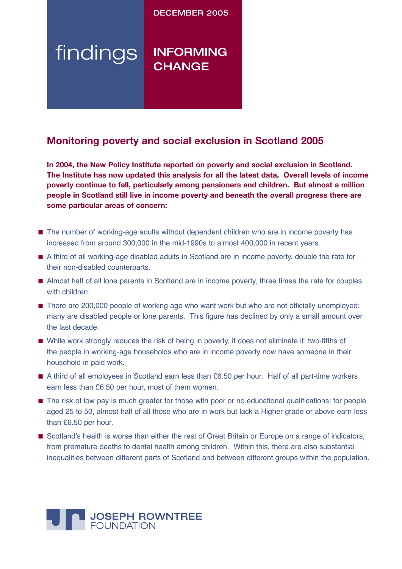DECEMBER 2005

# findings INFORMING **CHANGE**

## **Monitoring poverty and social exclusion in Scotland 2005**

**In 2004, the New Policy Institute reported on poverty and social exclusion in Scotland. The Institute has now updated this analysis for all the latest data. Overall levels of income poverty continue to fall, particularly among pensioners and children. But almost a million people in Scotland still live in income poverty and beneath the overall progress there are some particular areas of concern:**

- The number of working-age adults without dependent children who are in income poverty has increased from around 300,000 in the mid-1990s to almost 400,000 in recent years.
- A third of all working-age disabled adults in Scotland are in income poverty, double the rate for their non-disabled counterparts.
- Almost half of all lone parents in Scotland are in income poverty, three times the rate for couples with children.
- There are 200,000 people of working age who want work but who are not officially unemployed; many are disabled people or lone parents. This figure has declined by only a small amount over the last decade.
- While work strongly reduces the risk of being in poverty, it does not eliminate it: two-fifths of the people in working-age households who are in income poverty now have someone in their household in paid work.
- A third of all employees in Scotland earn less than £6.50 per hour. Half of all part-time workers earn less than £6.50 per hour, most of them women.
- The risk of low pay is much greater for those with poor or no educational qualifications: for people aged 25 to 50, almost half of all those who are in work but lack a Higher grade or above earn less than £6.50 per hour.
- Scotland's health is worse than either the rest of Great Britain or Europe on a range of indicators, from premature deaths to dental health among children. Within this, there are also substantial inequalities between different parts of Scotland and between different groups within the population.

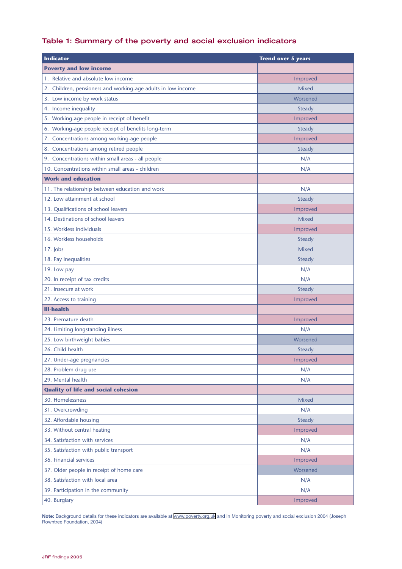## Table 1: Summary of the poverty and social exclusion indicators

| <b>Indicator</b>                                             | <b>Trend over 5 years</b> |
|--------------------------------------------------------------|---------------------------|
| <b>Poverty and low income</b>                                |                           |
| 1. Relative and absolute low income                          | Improved                  |
| 2. Children, pensioners and working-age adults in low income | <b>Mixed</b>              |
| 3. Low income by work status                                 | Worsened                  |
| 4. Income inequality                                         | Steady                    |
| 5. Working-age people in receipt of benefit                  | Improved                  |
| 6. Working-age people receipt of benefits long-term          | <b>Steady</b>             |
| 7. Concentrations among working-age people                   | Improved                  |
| 8. Concentrations among retired people                       | <b>Steady</b>             |
| 9. Concentrations within small areas - all people            | N/A                       |
| 10. Concentrations within small areas - children             | N/A                       |
| <b>Work and education</b>                                    |                           |
| 11. The relationship between education and work              | N/A                       |
| 12. Low attainment at school                                 | <b>Steady</b>             |
| 13. Qualifications of school leavers                         | Improved                  |
| 14. Destinations of school leavers                           | <b>Mixed</b>              |
| 15. Workless individuals                                     | Improved                  |
| 16. Workless households                                      | <b>Steady</b>             |
| $17.$ Jobs                                                   | <b>Mixed</b>              |
| 18. Pay inequalities                                         | <b>Steady</b>             |
| 19. Low pay                                                  | N/A                       |
| 20. In receipt of tax credits                                | N/A                       |
| 21. Insecure at work                                         | Steady                    |
| 22. Access to training                                       | Improved                  |
| <b>Ill-health</b>                                            |                           |
| 23. Premature death                                          | Improved                  |
| 24. Limiting longstanding illness                            | N/A                       |
| 25. Low birthweight babies                                   | Worsened                  |
| 26. Child health                                             | <b>Steady</b>             |
| 27. Under-age pregnancies                                    | Improved                  |
| 28. Problem drug use                                         | N/A                       |
| 29. Mental health                                            | N/A                       |
| <b>Quality of life and social cohesion</b>                   |                           |
| 30. Homelessness                                             | <b>Mixed</b>              |
| 31. Overcrowding                                             | N/A                       |
| 32. Affordable housing                                       | Steady                    |
| 33. Without central heating                                  | Improved                  |
| 34. Satisfaction with services                               | N/A                       |
| 35. Satisfaction with public transport                       | N/A                       |
| 36. Financial services                                       | Improved                  |
| 37. Older people in receipt of home care                     | Worsened                  |
| 38. Satisfaction with local area                             | N/A                       |
| 39. Participation in the community                           | N/A                       |
| 40. Burglary                                                 | Improved                  |

**Note:** Background details for these indicators are available at [www.poverty.org.uk](http://www.poverty.org.uk) and in Monitoring poverty and social exclusion 2004 (Joseph Rowntree Foundation, 2004)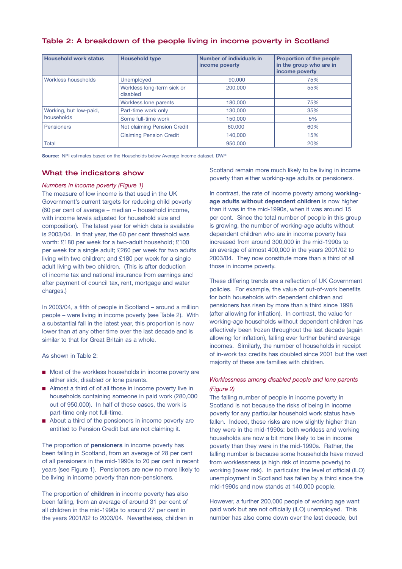| Table 2: A breakdown of the people living in income poverty in Scotland |  |  |  |  |  |
|-------------------------------------------------------------------------|--|--|--|--|--|
|-------------------------------------------------------------------------|--|--|--|--|--|

| <b>Household work status</b>         | <b>Household type</b>                  | Number of individuals in<br>income poverty | <b>Proportion of the people</b><br>in the group who are in<br>income poverty |
|--------------------------------------|----------------------------------------|--------------------------------------------|------------------------------------------------------------------------------|
| Workless households                  | <b>Unemployed</b>                      | 90,000                                     | 75%                                                                          |
|                                      | Workless long-term sick or<br>disabled | 200,000                                    | 55%                                                                          |
|                                      | Workless lone parents                  | 180,000                                    | 75%                                                                          |
| Working, but low-paid,<br>households | Part-time work only                    | 130,000                                    | 35%                                                                          |
|                                      | Some full-time work                    | 150,000                                    | 5%                                                                           |
| Pensioners                           | Not claiming Pension Credit            | 60,000                                     | 60%                                                                          |
|                                      | <b>Claiming Pension Credit</b>         | 140,000                                    | 15%                                                                          |
| Total                                |                                        | 950,000                                    | 20%                                                                          |

**Source:** NPI estimates based on the Households below Average Income dataset, DWP

#### What the indicators show

#### *Numbers in income poverty (Figure 1)*

The measure of low income is that used in the UK Government's current targets for reducing child poverty (60 per cent of average – median – household income, with income levels adjusted for household size and composition). The latest year for which data is available is 2003/04. In that year, the 60 per cent threshold was worth: £180 per week for a two-adult household; £100 per week for a single adult; £260 per week for two adults living with two children; and £180 per week for a single adult living with two children. (This is after deduction of income tax and national insurance from earnings and after payment of council tax, rent, mortgage and water charges.)

In 2003/04, a fifth of people in Scotland – around a million people – were living in income poverty (see Table 2). With a substantial fall in the latest year, this proportion is now lower than at any other time over the last decade and is similar to that for Great Britain as a whole.

As shown in Table 2:

- Most of the workless households in income poverty are either sick, disabled or lone parents.
- Almost a third of of all those in income poverty live in households containing someone in paid work (280,000 out of 950,000). In half of these cases, the work is part-time only not full-time.
- About a third of the pensioners in income poverty are entitled to Pension Credit but are not claiming it.

The proportion of **pensioners** in income poverty has been falling in Scotland, from an average of 28 per cent of all pensioners in the mid-1990s to 20 per cent in recent years (see Figure 1). Pensioners are now no more likely to be living in income poverty than non-pensioners.

The proportion of **children** in income poverty has also been falling, from an average of around 31 per cent of all children in the mid-1990s to around 27 per cent in the years 2001/02 to 2003/04. Nevertheless, children in Scotland remain more much likely to be living in income poverty than either working-age adults or pensioners.

In contrast, the rate of income poverty among **workingage adults without dependent children** is now higher than it was in the mid-1990s, when it was around 15 per cent. Since the total number of people in this group is growing, the number of working-age adults without dependent children who are in income poverty has increased from around 300,000 in the mid-1990s to an average of almost 400,000 in the years 2001/02 to 2003/04. They now constitute more than a third of all those in income poverty.

These differing trends are a reflection of UK Government policies. For example, the value of out-of-work benefits for both households with dependent children and pensioners has risen by more than a third since 1998 (after allowing for inflation). In contrast, the value for working-age households without dependent children has effectively been frozen throughout the last decade (again allowing for inflation), falling ever further behind average incomes. Similarly, the number of households in receipt of in-work tax credits has doubled since 2001 but the vast majority of these are families with children.

### *Worklessness among disabled people and lone parents (Figure 2)*

The falling number of people in income poverty in Scotland is not because the risks of being in income poverty for any particular household work status have fallen. Indeed, these risks are now slightly higher than they were in the mid-1990s: both workless and working households are now a bit more likely to be in income poverty than they were in the mid-1990s. Rather, the falling number is because some households have moved from worklessness (a high risk of income poverty) to working (lower risk). In particular, the level of official (ILO) unemployment in Scotland has fallen by a third since the mid-1990s and now stands at 140,000 people.

However, a further 200,000 people of working age want paid work but are not officially (ILO) unemployed. This number has also come down over the last decade, but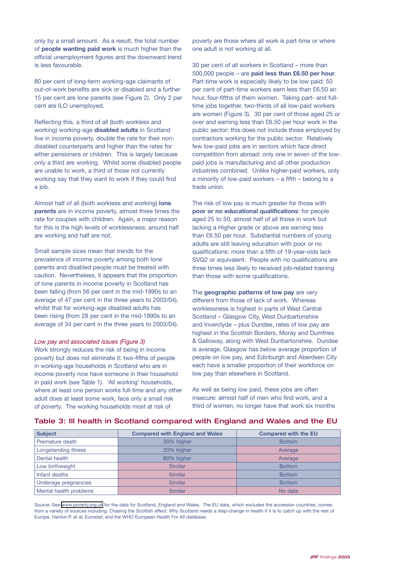only by a small amount. As a result, the total number of **people wanting paid work** is much higher than the official unemployment figures and the downward trend is less favourable.

80 per cent of long-term working-age claimants of out-of-work benefits are sick or disabled and a further 15 per cent are lone parents (see Figure 2). Only 2 per cent are ILO unemployed.

Reflecting this, a third of all (both workless and working) working-age **disabled adults** in Scotland live in income poverty, double the rate for their nondisabled counterparts and higher than the rates for either pensioners or children. This is largely because only a third are working. Whilst some disabled people are unable to work, a third of those not currently working say that they want to work if they could find a job.

Almost half of all (both workless and working) **lone parents** are in income poverty, almost three times the rate for couples with children. Again, a major reason for this is the high levels of worklessness: around half are working and half are not.

Small sample sizes mean that trends for the prevalence of income poverty among both lone parents and disabled people must be treated with caution. Nevertheless, it appears that the proportion of lone parents in income poverty in Scotland has been falling (from 56 per cent in the mid-1990s to an average of 47 per cent in the three years to 2003/04), whilst that for working-age disabled adults has been rising (from 28 per cent in the mid-1990s to an average of 34 per cent in the three years to 2003/04).

#### *Low pay and associated issues (Figure 3)*

Work strongly reduces the risk of being in income poverty but does not eliminate it: two-fifths of people in working-age households in Scotland who are in income poverty now have someone in their household in paid work (see Table 1). 'All working' households, where at least one person works full-time and any other adult does at least some work, face only a small risk of poverty. The working households most at risk of

poverty are those where all work is part-time or where one adult is not working at all.

30 per cent of all workers in Scotland – more than 500,000 people – are **paid less than £6.50 per hour**. Part-time work is especially likely to be low paid: 50 per cent of part-time workers earn less than £6.50 an hour, four-fifths of them women. Taking part- and fulltime jobs together, two-thirds of all low-paid workers are women (Figure 3). 30 per cent of those aged 25 or over and earning less than £6.50 per hour work in the public sector: this does not include those employed by contractors working for the public sector. Relatively few low-paid jobs are in sectors which face direct competition from abroad: only one in seven of the lowpaid jobs is manufacturing and all other production industries combined. Unlike higher-paid workers, only a minority of low-paid workers – a fifth – belong to a trade union.

The risk of low pay is much greater for those with **poor or no educational qualifications**: for people aged 25 to 50, almost half of all those in work but lacking a Higher grade or above are earning less than £6.50 per hour. Substantial numbers of young adults are still leaving education with poor or no qualifications: more than a fifth of 19-year-olds lack SVQ2 or equivalent. People with no qualifications are three times less likely to received job-related training than those with some qualifications.

The **geographic patterns of low pay** are very different from those of lack of work. Whereas worklessness is highest in parts of West Central Scotland – Glasgow City, West Dunbartonshire and Inverclyde – plus Dundee, rates of low pay are highest in the Scottish Borders, Moray and Dumfries & Galloway, along with West Dunbartonshire. Dundee is average, Glasgow has below average proportion of people on low pay, and Edinburgh and Aberdeen City each have a smaller proportion of their workforce on low pay than elsewhere in Scotland.

As well as being low paid, these jobs are often insecure: almost half of men who find work, and a third of women, no longer have that work six months

| <b>Subject</b>         | <b>Compared with England and Wales</b> | <b>Compared with the EU</b> |
|------------------------|----------------------------------------|-----------------------------|
| Premature death        | 30% higher                             | <b>Bottom</b>               |
| Longstanding illness   | 20% higher                             | Average                     |
| Dental health          | 80% higher                             | Average                     |
| Low birthweight        | <b>Similar</b>                         | <b>Bottom</b>               |
| Infant deaths          | <b>Similar</b>                         | <b>Bottom</b>               |
| Underage pregnancies   | <b>Similar</b>                         | <b>Bottom</b>               |
| Mental health problems | <b>Similar</b>                         | No data                     |

#### Table 3: Ill health in Scotland compared with England and Wales and the EU

Source: See [www.poverty.org.uk](http://www.poverty.org.uk) for the data for Scotland, England and Wales. The EU data, which excludes the accession countries, comes from a variety of sources including: Chasing the Scottish effect: Why Scotland needs a step-change in health if it is to catch up with the rest of Europe, Hanlon P. et al; Eurostat; and the WHO European Health For All database.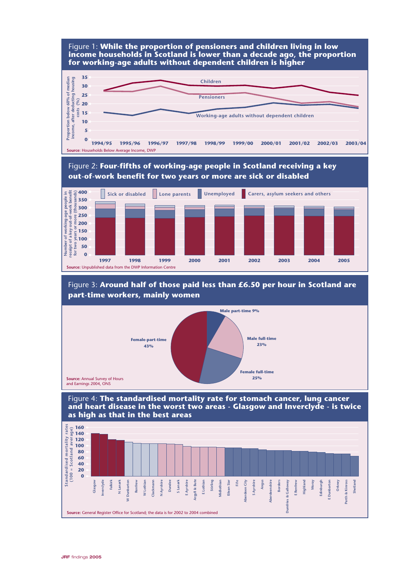

**Source:** Annual Survey of Hours **25%**<br>
and Earnings 2004, ONS **25%** 

Figure 4: **The standardised mortality rate for stomach cancer, lung cancer and heart disease in the worst two areas - Glasgow and Inverclyde - is twice as high as that in the best areas** 

**Female full-time**